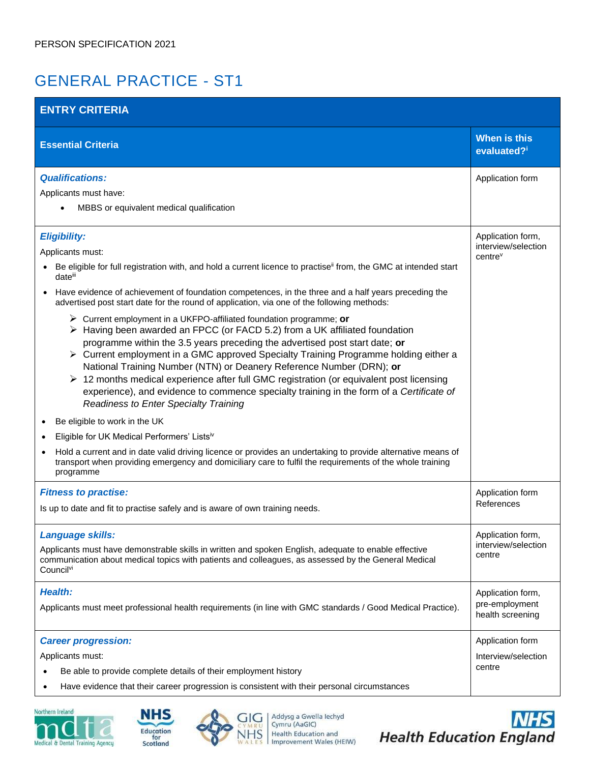## GENERAL PRACTICE - ST1

| <b>ENTRY CRITERIA</b>                                                                                                                                                                                                                                                                                                                                                                                                                                                                                                                                                                                                                                                                                                                                                                                                                                                                                                                                                                                                                                              |                                                                 |  |  |
|--------------------------------------------------------------------------------------------------------------------------------------------------------------------------------------------------------------------------------------------------------------------------------------------------------------------------------------------------------------------------------------------------------------------------------------------------------------------------------------------------------------------------------------------------------------------------------------------------------------------------------------------------------------------------------------------------------------------------------------------------------------------------------------------------------------------------------------------------------------------------------------------------------------------------------------------------------------------------------------------------------------------------------------------------------------------|-----------------------------------------------------------------|--|--|
| <b>Essential Criteria</b>                                                                                                                                                                                                                                                                                                                                                                                                                                                                                                                                                                                                                                                                                                                                                                                                                                                                                                                                                                                                                                          | When is this<br>evaluated?i                                     |  |  |
| <b>Qualifications:</b><br>Applicants must have:<br>MBBS or equivalent medical qualification                                                                                                                                                                                                                                                                                                                                                                                                                                                                                                                                                                                                                                                                                                                                                                                                                                                                                                                                                                        | Application form                                                |  |  |
| <b>Eligibility:</b><br>Applicants must:<br>Be eligible for full registration with, and hold a current licence to practise <sup>ii</sup> from, the GMC at intended start<br>dateill<br>Have evidence of achievement of foundation competences, in the three and a half years preceding the<br>advertised post start date for the round of application, via one of the following methods:<br>$\triangleright$ Current employment in a UKFPO-affiliated foundation programme; or<br>> Having been awarded an FPCC (or FACD 5.2) from a UK affiliated foundation<br>programme within the 3.5 years preceding the advertised post start date; or<br>▶ Current employment in a GMC approved Specialty Training Programme holding either a<br>National Training Number (NTN) or Deanery Reference Number (DRN); or<br>$\triangleright$ 12 months medical experience after full GMC registration (or equivalent post licensing<br>experience), and evidence to commence specialty training in the form of a Certificate of<br><b>Readiness to Enter Specialty Training</b> | Application form,<br>interview/selection<br>centre <sup>v</sup> |  |  |
| Be eligible to work in the UK<br>Eligible for UK Medical Performers' Listsiv<br>Hold a current and in date valid driving licence or provides an undertaking to provide alternative means of<br>transport when providing emergency and domiciliary care to fulfil the requirements of the whole training<br>programme                                                                                                                                                                                                                                                                                                                                                                                                                                                                                                                                                                                                                                                                                                                                               |                                                                 |  |  |
| <b>Fitness to practise:</b><br>Is up to date and fit to practise safely and is aware of own training needs.                                                                                                                                                                                                                                                                                                                                                                                                                                                                                                                                                                                                                                                                                                                                                                                                                                                                                                                                                        | Application form<br>References                                  |  |  |
| Language skills:<br>Applicants must have demonstrable skills in written and spoken English, adequate to enable effective<br>communication about medical topics with patients and colleagues, as assessed by the General Medical<br>Council <sup>vi</sup>                                                                                                                                                                                                                                                                                                                                                                                                                                                                                                                                                                                                                                                                                                                                                                                                           | Application form,<br>interview/selection<br>centre              |  |  |
| <b>Health:</b><br>Applicants must meet professional health requirements (in line with GMC standards / Good Medical Practice).                                                                                                                                                                                                                                                                                                                                                                                                                                                                                                                                                                                                                                                                                                                                                                                                                                                                                                                                      | Application form,<br>pre-employment<br>health screening         |  |  |
| <b>Career progression:</b><br>Applicants must:<br>Be able to provide complete details of their employment history<br>Have evidence that their career progression is consistent with their personal circumstances                                                                                                                                                                                                                                                                                                                                                                                                                                                                                                                                                                                                                                                                                                                                                                                                                                                   | Application form<br>Interview/selection<br>centre               |  |  |







Addysg a Gwella lechyd<br>Cymru (AaGIC)<br>Health Education and<br>Improvement Wales (HEIW)

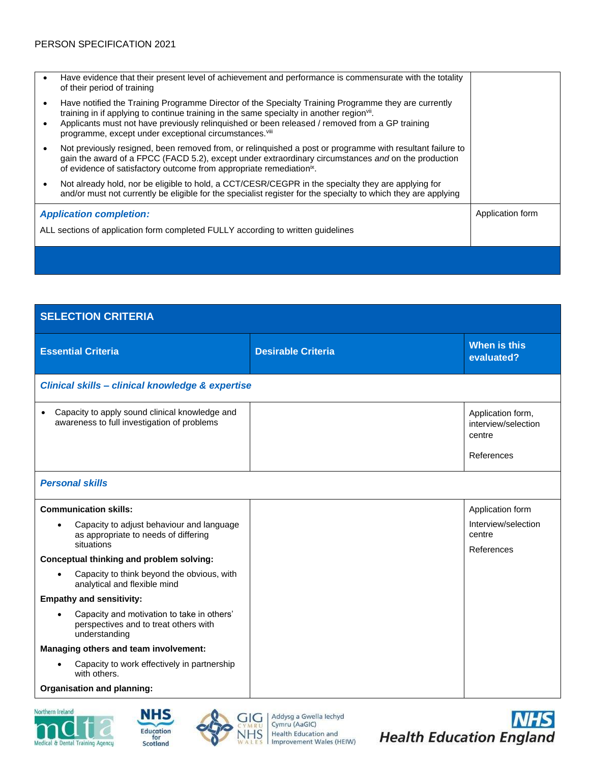|                                                                                  | Have evidence that their present level of achievement and performance is commensurate with the totality<br>of their period of training                                                                                                                                                                                                                                     |                  |
|----------------------------------------------------------------------------------|----------------------------------------------------------------------------------------------------------------------------------------------------------------------------------------------------------------------------------------------------------------------------------------------------------------------------------------------------------------------------|------------------|
|                                                                                  | Have notified the Training Programme Director of the Specialty Training Programme they are currently<br>training in if applying to continue training in the same specialty in another region <sup>vii</sup> .<br>Applicants must not have previously relinquished or been released / removed from a GP training<br>programme, except under exceptional circumstances. Viii |                  |
|                                                                                  | Not previously resigned, been removed from, or relinguished a post or programme with resultant failure to<br>gain the award of a FPCC (FACD 5.2), except under extraordinary circumstances and on the production<br>of evidence of satisfactory outcome from appropriate remediation <sup>ix</sup> .                                                                       |                  |
|                                                                                  | Not already hold, nor be eligible to hold, a CCT/CESR/CEGPR in the specialty they are applying for<br>and/or must not currently be eligible for the specialist register for the specialty to which they are applying                                                                                                                                                       |                  |
| <b>Application completion:</b>                                                   |                                                                                                                                                                                                                                                                                                                                                                            | Application form |
| ALL sections of application form completed FULLY according to written guidelines |                                                                                                                                                                                                                                                                                                                                                                            |                  |
|                                                                                  |                                                                                                                                                                                                                                                                                                                                                                            |                  |

| <b>SELECTION CRITERIA</b>                                                                                         |                           |                                                                  |  |  |
|-------------------------------------------------------------------------------------------------------------------|---------------------------|------------------------------------------------------------------|--|--|
| <b>Essential Criteria</b>                                                                                         | <b>Desirable Criteria</b> | When is this<br>evaluated?                                       |  |  |
| Clinical skills - clinical knowledge & expertise                                                                  |                           |                                                                  |  |  |
| Capacity to apply sound clinical knowledge and<br>awareness to full investigation of problems                     |                           | Application form,<br>interview/selection<br>centre<br>References |  |  |
| <b>Personal skills</b>                                                                                            |                           |                                                                  |  |  |
| <b>Communication skills:</b>                                                                                      |                           | Application form                                                 |  |  |
| Capacity to adjust behaviour and language<br>$\bullet$<br>as appropriate to needs of differing<br>situations      |                           | Interview/selection<br>centre<br>References                      |  |  |
| Conceptual thinking and problem solving:                                                                          |                           |                                                                  |  |  |
| Capacity to think beyond the obvious, with<br>$\bullet$<br>analytical and flexible mind                           |                           |                                                                  |  |  |
| <b>Empathy and sensitivity:</b>                                                                                   |                           |                                                                  |  |  |
| Capacity and motivation to take in others'<br>$\bullet$<br>perspectives and to treat others with<br>understanding |                           |                                                                  |  |  |
| Managing others and team involvement:                                                                             |                           |                                                                  |  |  |
| Capacity to work effectively in partnership<br>$\bullet$<br>with others.                                          |                           |                                                                  |  |  |
| Organisation and planning:                                                                                        |                           |                                                                  |  |  |







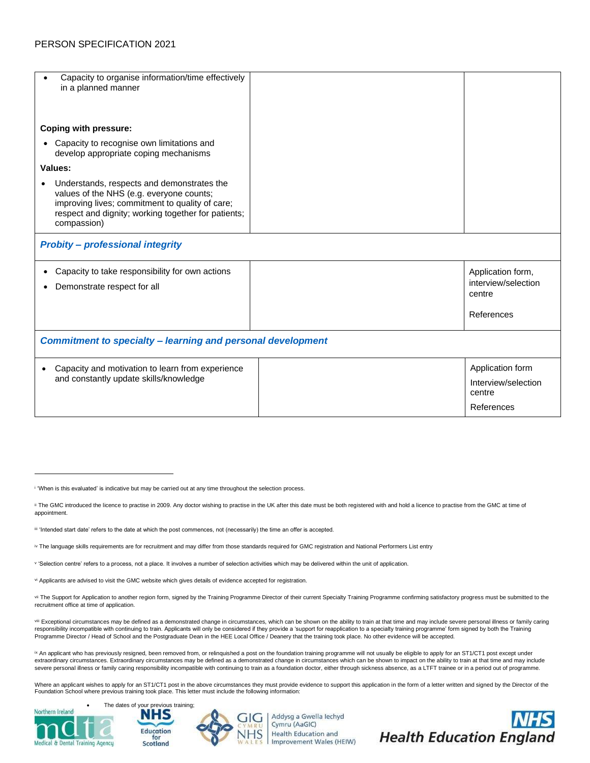| Capacity to organise information/time effectively<br>in a planned manner                                                                                                                                        |  |                                                                  |  |  |
|-----------------------------------------------------------------------------------------------------------------------------------------------------------------------------------------------------------------|--|------------------------------------------------------------------|--|--|
| <b>Coping with pressure:</b>                                                                                                                                                                                    |  |                                                                  |  |  |
| • Capacity to recognise own limitations and<br>develop appropriate coping mechanisms                                                                                                                            |  |                                                                  |  |  |
| Values:                                                                                                                                                                                                         |  |                                                                  |  |  |
| Understands, respects and demonstrates the<br>values of the NHS (e.g. everyone counts;<br>improving lives; commitment to quality of care;<br>respect and dignity; working together for patients;<br>compassion) |  |                                                                  |  |  |
| <b>Probity - professional integrity</b>                                                                                                                                                                         |  |                                                                  |  |  |
| Capacity to take responsibility for own actions<br>$\bullet$<br>Demonstrate respect for all                                                                                                                     |  | Application form,<br>interview/selection<br>centre<br>References |  |  |
| <b>Commitment to specialty - learning and personal development</b>                                                                                                                                              |  |                                                                  |  |  |
| Capacity and motivation to learn from experience<br>$\bullet$<br>and constantly update skills/knowledge                                                                                                         |  | Application form<br>Interview/selection<br>centre<br>References  |  |  |

vill Exceptional circumstances may be defined as a demonstrated change in circumstances, which can be shown on the ability to train at that time and may include severe personal illness or family caring responsibility incompatible with continuing to train. Applicants will only be considered if they provide a 'support for reapplication to a specialty training programme' form signed by both the Training<br>Programme Director /

<sup>ix</sup> An applicant who has previously resigned, been removed from, or relinquished a post on the foundation training programme will not usually be eligible to apply for an ST1/CT1 post except under extraordinary circumstances. Extraordinary circumstances may be defined as a demonstrated change in circumstances which can be shown to impact on the ability to train at that time and may include severe personal illness or family caring responsibility incompatible with continuing to train as a foundation doctor, either through sickness absence, as a LTFT trainee or in a period out of programme.

Where an applicant wishes to apply for an ST1/CT1 post in the above circumstances they must provide evidence to support this application in the form of a letter written and signed by the Director of the Foundation School where previous training took place. This letter must include the following information:





Addysg a Gwella lechyd Cymru (AaGIC) Health Education and Improvement Wales (HEIW)



i 'When is this evaluated' is indicative but may be carried out at any time throughout the selection process.

ii The GMC introduced the licence to practise in 2009. Any doctor wishing to practise in the UK after this date must be both registered with and hold a licence to practise from the GMC at time of appointment.

iii 'Intended start date' refers to the date at which the post commences, not (necessarily) the time an offer is accepted.

iv The language skills requirements are for recruitment and may differ from those standards required for GMC registration and National Performers List entry

v 'Selection centre' refers to a process, not a place. It involves a number of selection activities which may be delivered within the unit of application.

vi Applicants are advised to visit the GMC website which gives details of evidence accepted for registration.

vii The Support for Application to another region form, signed by the Training Programme Director of their current Specialty Training Programme confirming satisfactory progress must be submitted to the recruitment office at time of application.